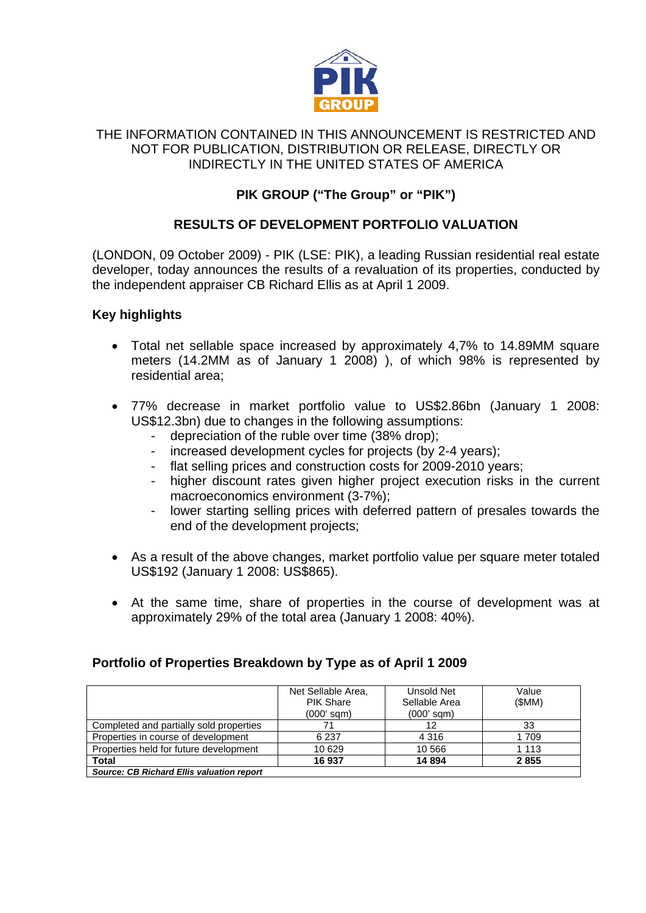

### THE INFORMATION CONTAINED IN THIS ANNOUNCEMENT IS RESTRICTED AND NOT FOR PUBLICATION, DISTRIBUTION OR RELEASE, DIRECTLY OR INDIRECTLY IN THE UNITED STATES OF AMERICA

# **PIK GROUP ("The Group" or "PIK")**

## **RESULTS OF DEVELOPMENT PORTFOLIO VALUATION**

(LONDON, 09 October 2009) - PIK (LSE: PIK), a leading Russian residential real estate developer, today announces the results of a revaluation of its properties, conducted by the independent appraiser CB Richard Ellis as at April 1 2009.

### **Key highlights**

- Total net sellable space increased by approximately 4,7% to 14.89MM square meters (14.2MM as of January 1 2008) ), of which 98% is represented by residential area;
- 77% decrease in market portfolio value to US\$2.86bn (January 1 2008: US\$12.3bn) due to changes in the following assumptions:
	- depreciation of the ruble over time (38% drop);
	- increased development cycles for projects (by 2-4 years);
	- flat selling prices and construction costs for 2009-2010 years;
	- higher discount rates given higher project execution risks in the current macroeconomics environment (3-7%);
	- lower starting selling prices with deferred pattern of presales towards the end of the development projects;
- As a result of the above changes, market portfolio value per square meter totaled US\$192 (January 1 2008: US\$865).
- At the same time, share of properties in the course of development was at approximately 29% of the total area (January 1 2008: 40%).

## **Portfolio of Properties Breakdown by Type as of April 1 2009**

|                                                  | Net Sellable Area,<br><b>PIK Share</b><br>$(0006$ sqm $)$ | Unsold Net<br>Sellable Area<br>$(000'$ sqm $)$ | Value<br>(SMM) |
|--------------------------------------------------|-----------------------------------------------------------|------------------------------------------------|----------------|
| Completed and partially sold properties          | 71                                                        | 12                                             | 33             |
| Properties in course of development              | 6 2 3 7                                                   | 4 3 1 6                                        | 1709           |
| Properties held for future development           | 10 629                                                    | 10 566                                         | 1 1 1 3        |
| Total                                            | 16937                                                     | 14 8 94                                        | 2855           |
| <b>Source: CB Richard Ellis valuation report</b> |                                                           |                                                |                |